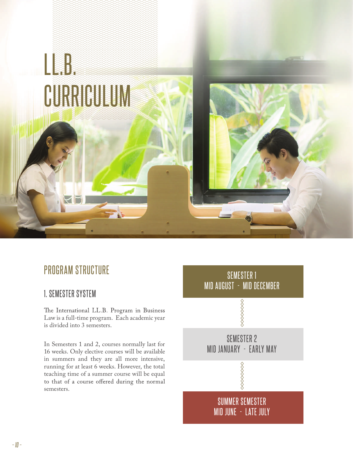

### PROGRAM STRUCTURE

#### 1. SEMESTER SYSTEM

The International LL.B. Program in Business Law is a full-time program. Each academic year is divided into 3 semesters.

In Semesters 1 and 2, courses normally last for 16 weeks. Only elective courses will be available in summers and they are all more intensive, running for at least 6 weeks. However, the total teaching time of a summer course will be equal<br>to that of a course offered during the normal semesters.

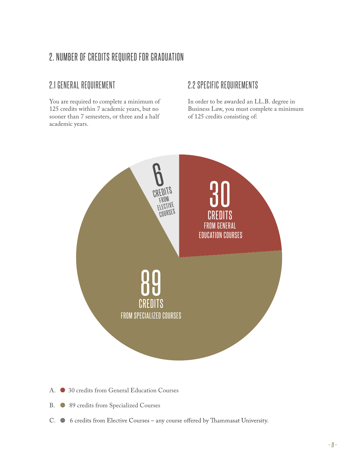### 2. NUMBER OF CREDITS REQUIRED FOR GRADUATION

#### 2.1 GENERAL REQUIREMENT

You are required to complete a minimum of 125 credits within 7 academic years, but no sooner than 7 semesters, or three and a half academic years.

#### 2.2 SPECIFIC REQUIREMENTS

In order to be awarded an LL.B. degree in Business Law, you must complete a minimum of 125 credits consisting of:



- A. 30 credits from General Education Courses
- B.  $\bullet$  89 credits from Specialized Courses
- C. . 6 credits from Elective Courses any course offered by Thammasat University.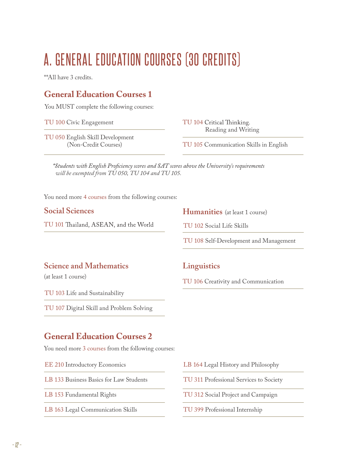# A. GENERAL EDUCATION COURSES (30 CREDITS)

\*\*All have 3 credits.

#### **General Education Courses 1**

You MUST complete the following courses:

TU 100 Civic Engagement

TU 104 Critical Thinking. Reading and Writing

TU 050 English Skill Development (Non-Credit Courses)

TU 105 Communication Skills in English

\*Students with English Proficiency scores and SAT scores above the University's requirements  *will be exempted from TU 050, TU 104 and TU 105.*

You need more 4 courses from the following courses:

#### **Social Sciences**

TU 101 Thailand, ASEAN, and the World

**Humanities** (at least 1 course)

TU 102 Social Life Skills

**Linguistics**

TU 108 Self-Development and Management

TU 106 Creativity and Communication

#### **Science and Mathematics**

(at least 1 course)

TU 103 Life and Sustainability

TU 107 Digital Skill and Problem Solving

#### **General Education Courses 2**

You need more 3 courses from the following courses:

EE 210 Introductory Economics

LB 133 Business Basics for Law Students

LB 153 Fundamental Rights

LB 163 Legal Communication Skills

- LB 164 Legal History and Philosophy
- TU 311 Professional Services to Society
- TU 312 Social Project and Campaign
- TU 399 Professional Internship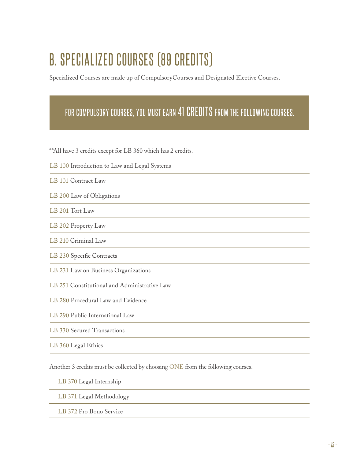# B. SPECIALIZED COURSES (89 CREDITS)

Specialized Courses are made up of CompulsoryCourses and Designated Elective Courses.

## FOR COMPULSORY COURSES, YOU MUST EARN 41 CREDITS FROM THE FOLLOWING COURSES.

\*\*All have 3 credits except for LB 360 which has 2 credits.

LB 100 Introduction to Law and Legal Systems

LB 101 Contract Law

- LB 200 Law of Obligations
- LB 201 Tort Law

LB 202 Property Law

LB 210 Criminal Law

LB 230 Specific Contracts

LB 231 Law on Business Organizations

LB 251 Constitutional and Administrative Law

LB 280 Procedural Law and Evidence

LB 290 Public International Law

LB 330 Secured Transactions

LB 360 Legal Ethics

Another 3 credits must be collected by choosing ONE from the following courses.

LB 370 Legal Internship

LB 371 Legal Methodology

LB 372 Pro Bono Service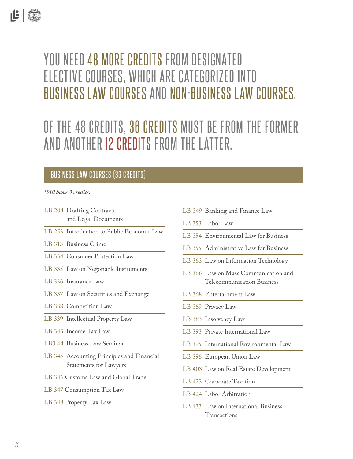## YOU NEED 48 MORE CREDITS FROM DESIGNATED ELECTIVE COURSES, WHICH ARE CATEGORIZED INTO BUSINESS LAW COURSES AND NON-BUSINESS LAW COURSES.

## OF THE 48 CREDITS, 36 CREDITS MUST BE FROM THE FORMER AND ANOTHER 12 CREDITS FROM THE LATTER.

#### BUSINESS LAW COURSES (36 CREDITS)

#### *\*\*All have 3 credits.*

- LB 204 Drafting Contracts and Legal Documents
- LB 253 Introduction to Public Economic Law
- LB 313 Business Crime
- LB 334 Consumer Protection Law
- LB 335 Law on Negotiable Instruments
- LB 336 Insurance Law
- LB 337 Law on Securities and Exchange
- LB 338 Competition Law
- LB 339 Intellectual Property Law
- LB 343 Income Tax Law
- LB3 44 Business Law Seminar
- LB 345 Accounting Principles and Financial Statements for Lawyers
- LB 346 Customs Law and Global Trade
- LB 347 Consumption Tax Law
- LB 348 Property Tax Law
- LB 349 Banking and Finance Law LB 353 Labor Law LB 354 Environmental Law for Business LB 355 Administrative Law for Business LB 363 Law on Information Technology LB 366 Law on Mass Communication and Telecommunication Business LB 368 Entertainment Law LB 369 Privacy Law LB 383 Insolvency Law LB 393 Private International Law LB 395 International Environmental Law LB 396 European Union Law LB 403 Law on Real Estate Development LB 423 Corporate Taxation LB 424 Labor Arbitration
- LB 433 Law on International Business Transactions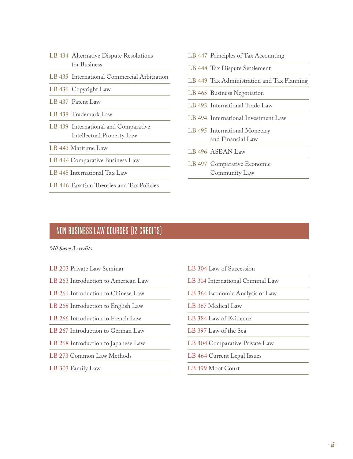- LB 434 Alternative Dispute Resolutions for Business
- LB 435 International Commercial Arbitration
- LB 436 Copyright Law
- LB 437 Patent Law
- LB 438 Trademark Law
- LB 439 International and Comparative Intellectual Property Law
- LB 443 Maritime Law
- LB 444 Comparative Business Law
- LB 445 International Tax Law
- LB 446 Taxation Theories and Tax Policies
- LB 447 Principles of Tax Accounting
- LB 448 Tax Dispute Settlement
- LB 449 Tax Administration and Tax Planning
- LB 465 Business Negotiation
- LB 493 International Trade Law
- LB 494 International Investment Law
- LB 495 International Monetary and Financial Law
- LB 496 ASEAN Law
- LB 497 Comparative Economic Community Law

#### NON BUSINESS LAW COURSES (12 CREDITS)

*\*All have 3 credits.*

- LB 203 Private Law Seminar
- LB 263 Introduction to American Law
- LB 264 Introduction to Chinese Law
- LB 265 Introduction to English Law
- LB 266 Introduction to French Law
- LB 267 Introduction to German Law
- LB 268 Introduction to Japanese Law
- LB 273 Common Law Methods
- LB 303 Family Law
- LB 304 Law of Succession
- LB 314 International Criminal Law
- LB 364 Economic Analysis of Law
- LB 367 Medical Law
- LB 384 Law of Evidence
- LB 397 Law of the Sea
- LB 404 Comparative Private Law
- LB 464 Current Legal Issues
- LB 499 Moot Court